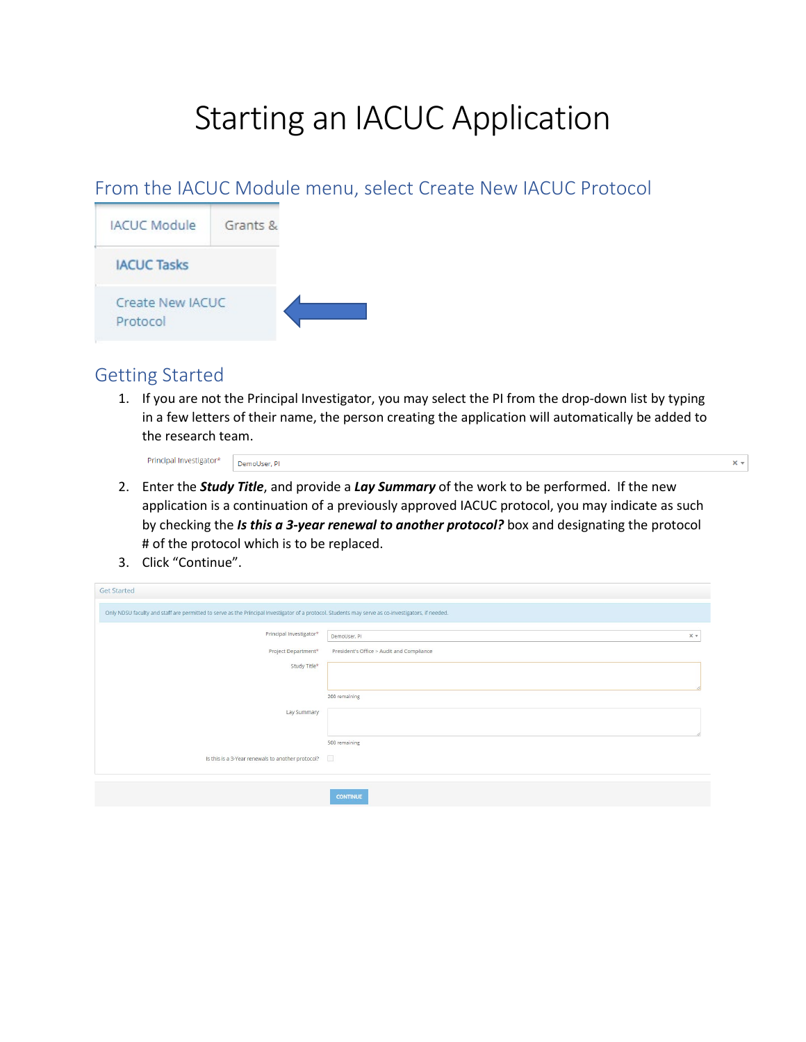# Starting an IACUC Application

#### From the IACUC Module menu, select Create New IACUC Protocol



#### Getting Started

1. If you are not the Principal Investigator, you may select the PI from the drop-down list by typing in a few letters of their name, the person creating the application will automatically be added to the research team.

 $\times$   $\star$ 

Principal Investigator\* DemoUser, Pl

- 2. Enter the *Study Title*, and provide a *Lay Summary* of the work to be performed. If the new application is a continuation of a previously approved IACUC protocol, you may indicate as such by checking the *Is this a 3-year renewal to another protocol?* box and designating the protocol # of the protocol which is to be replaced.
- 3. Click "Continue".

 $C_{\text{eff}}$   $C_{\text{total}}$ 

| Get Started                                                                                                                                        |                                           |  |
|----------------------------------------------------------------------------------------------------------------------------------------------------|-------------------------------------------|--|
| Only NDSU faculty and staff are permitted to serve as the Principal Investigator of a protocol. Students may serve as co-investigators, if needed. |                                           |  |
| Principal Investigator*                                                                                                                            | $\times$ $\times$<br>DemoUser, PI         |  |
| Project Department*                                                                                                                                | President's Office > Audit and Compliance |  |
| Study Title*                                                                                                                                       |                                           |  |
|                                                                                                                                                    |                                           |  |
|                                                                                                                                                    | 200 remaining                             |  |
| Lay Summary                                                                                                                                        |                                           |  |
|                                                                                                                                                    | 500 remaining                             |  |
| Is this is a 3-Year renewals to another protocol?                                                                                                  |                                           |  |
|                                                                                                                                                    |                                           |  |
|                                                                                                                                                    | <b>CONTINUE</b>                           |  |
|                                                                                                                                                    |                                           |  |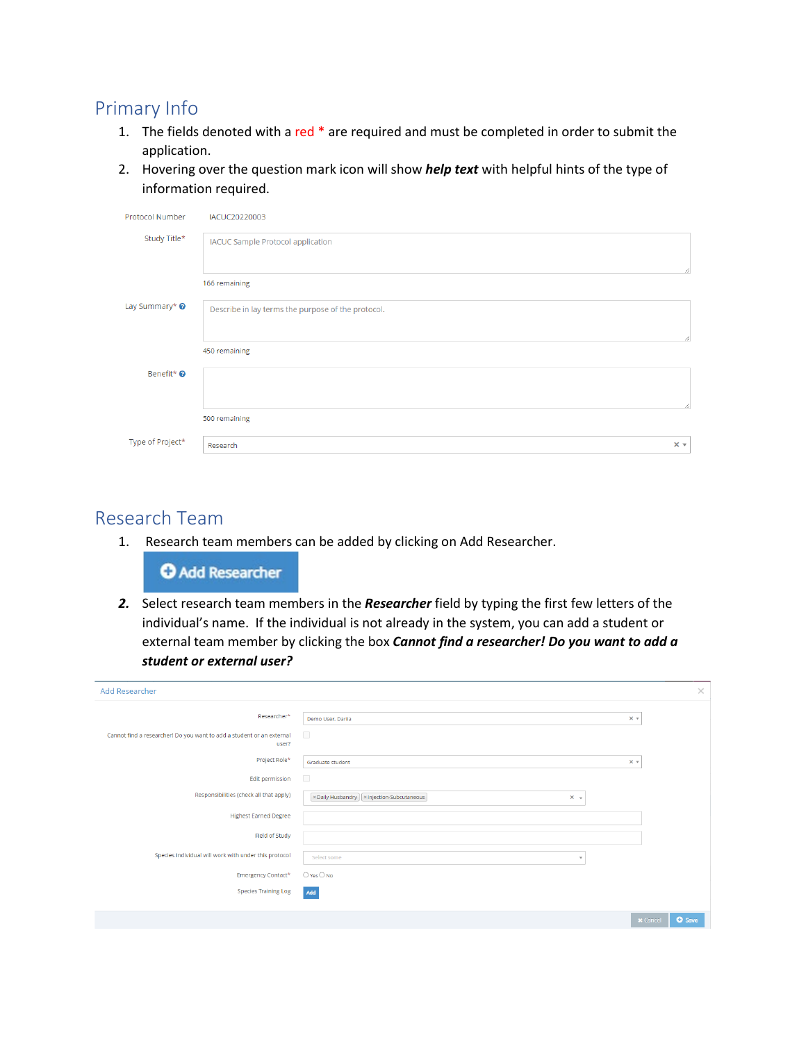#### Primary Info

- 1. The fields denoted with a red \* are required and must be completed in order to submit the application.
- 2. Hovering over the question mark icon will show *help text* with helpful hints of the type of information required.

| Protocol Number           | IACUC20220003                                      |                   |
|---------------------------|----------------------------------------------------|-------------------|
| Study Title*              | <b>IACUC Sample Protocol application</b>           |                   |
|                           | 166 remaining                                      | 4                 |
| Lay Summary* <sup>©</sup> | Describe in lay terms the purpose of the protocol. | 4                 |
|                           | 450 remaining                                      |                   |
| Benefit* <sup>O</sup>     |                                                    |                   |
|                           | 500 remaining                                      | 4                 |
| Type of Project*          | Research                                           | $\times$ $\times$ |

#### Research Team

1. Research team members can be added by clicking on Add Researcher.

**O** Add Researcher

*2.* Select research team members in the *Researcher* field by typing the first few letters of the individual's name. If the individual is not already in the system, you can add a student or external team member by clicking the box *Cannot find a researcher! Do you want to add a student or external user?*

| <b>Add Researcher</b>                                                          |                                                                 | $\times$                         |
|--------------------------------------------------------------------------------|-----------------------------------------------------------------|----------------------------------|
| Researcher*                                                                    | $x -$<br>Demo User, Dariia                                      |                                  |
| Cannot find a researcher! Do you want to add a student or an external<br>user? | $\Box$                                                          |                                  |
| Project Role*                                                                  | $x -$<br>Graduate student                                       |                                  |
| Edit permission                                                                | $\Box$                                                          |                                  |
| Responsibilities (check all that apply)                                        | x Daily Husbandry   x Injection-Subcutaneous<br>$\times$ $\sim$ |                                  |
| <b>Highest Earned Degree</b>                                                   |                                                                 |                                  |
| Field of Study                                                                 |                                                                 |                                  |
| Species Individual will work with under this protocol                          | Select some<br>×                                                |                                  |
| Emergency Contact*                                                             | $O$ Yes $O$ No                                                  |                                  |
| <b>Species Training Log</b>                                                    | Add                                                             |                                  |
|                                                                                |                                                                 | <b>x</b> Cancel<br><b>O</b> Save |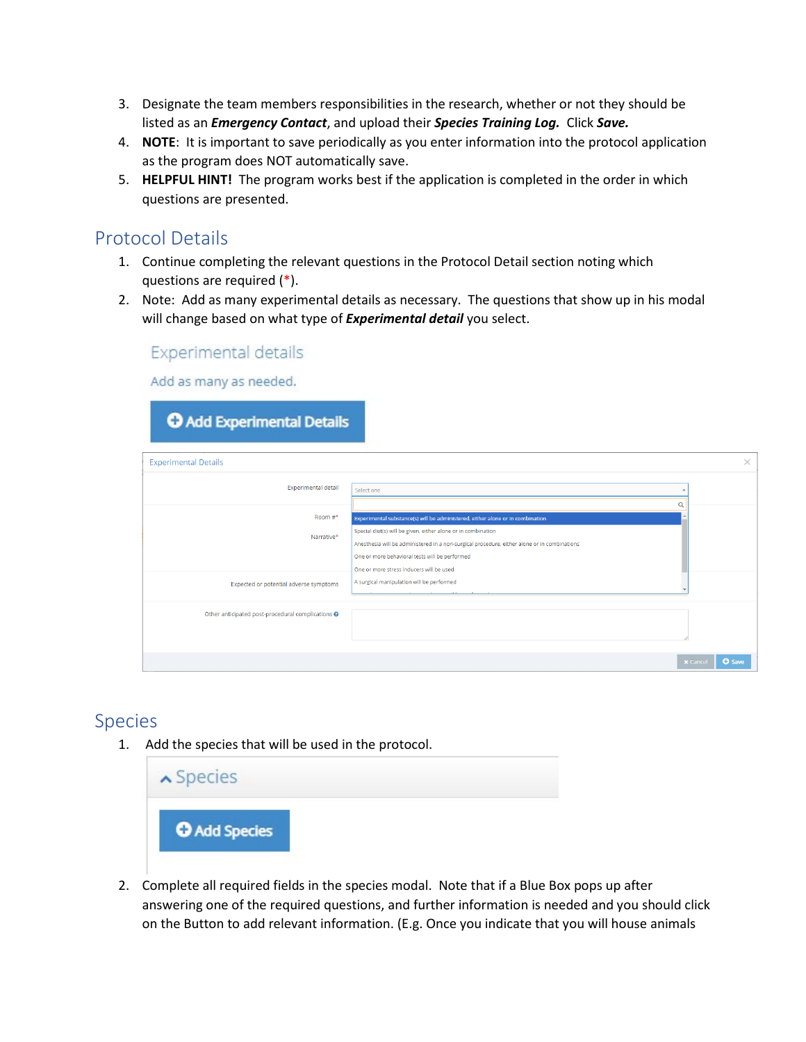- 3. Designate the team members responsibilities in the research, whether or not they should be listed as an *Emergency Contact*, and upload their *Species Training Log.* Click *Save.*
- 4. **NOTE**: It is important to save periodically as you enter information into the protocol application as the program does NOT automatically save.
- 5. **HELPFUL HINT!** The program works best if the application is completed in the order in which questions are presented.

#### Protocol Details

- 1. Continue completing the relevant questions in the Protocol Detail section noting which questions are required (\*).
- 2. Note: Add as many experimental details as necessary. The questions that show up in his modal will change based on what type of *Experimental detail* you select.

#### **Experimental details**

Add as many as needed.

| O Add Experimental Details                                         |                                                                                                                                                                                                                                                                                                                                                                                            |                                  |
|--------------------------------------------------------------------|--------------------------------------------------------------------------------------------------------------------------------------------------------------------------------------------------------------------------------------------------------------------------------------------------------------------------------------------------------------------------------------------|----------------------------------|
| <b>Experimental Details</b>                                        |                                                                                                                                                                                                                                                                                                                                                                                            | $\times$                         |
| <b>Experimental detail</b>                                         | Select one<br>$\Omega$                                                                                                                                                                                                                                                                                                                                                                     |                                  |
| Room $#^*$<br>Narrative*<br>Expected or potential adverse symptoms | Experimental substance(s) will be administered, either alone or in combination<br>Special diet(s) will be given, either alone or in combination<br>Anesthesia will be administered in a non-surgical procedure, either alone or in combinations<br>One or more behavioral tests will be performed<br>One or more stress inducers will be used<br>A surgical manipulation will be performed |                                  |
| Other anticipated post-procedural complications @                  |                                                                                                                                                                                                                                                                                                                                                                                            |                                  |
|                                                                    |                                                                                                                                                                                                                                                                                                                                                                                            | <b>O</b> Save<br><b>x</b> Cancel |

#### Species

1. Add the species that will be used in the protocol.



2. Complete all required fields in the species modal. Note that if a Blue Box pops up after answering one of the required questions, and further information is needed and you should click on the Button to add relevant information. (E.g. Once you indicate that you will house animals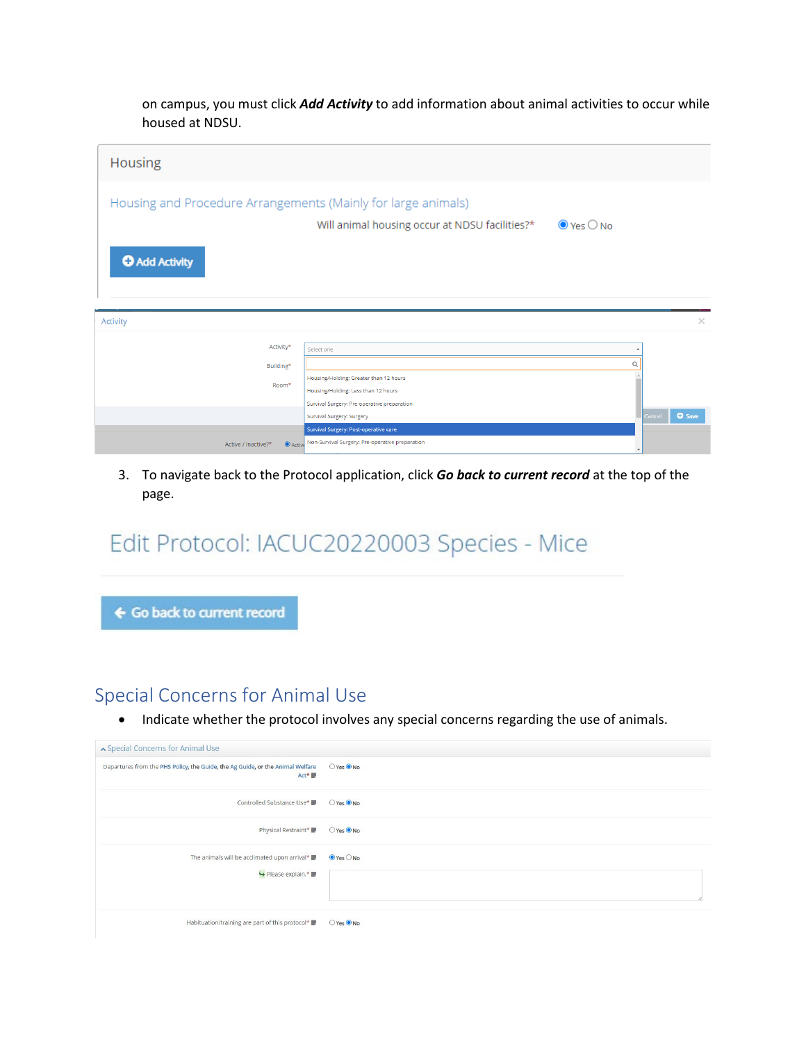on campus, you must click *Add Activity* to add information about animal activities to occur while housed at NDSU.



3. To navigate back to the Protocol application, click *Go back to current record* at the top of the page.

## Edit Protocol: IACUC20220003 Species - Mice

← Go back to current record

#### Special Concerns for Animal Use

• Indicate whether the protocol involves any special concerns regarding the use of animals.

| ▲ Special Concerns for Animal Use                                                      |                              |  |
|----------------------------------------------------------------------------------------|------------------------------|--|
| Departures from the PHS Policy, the Guide, the Ag Guide, or the Animal Welfare<br>Act* | O Yes O No                   |  |
| Controlled Substance Use*                                                              | O Yes O No                   |  |
| Physical Restraint*                                                                    | ○Yes ● No                    |  |
| The animals will be acclimated upon arrival*<br>Please explain.*                       | $\odot$ Yes $\odot$ No<br>p. |  |
| Habituation/training are part of this protocol*                                        | ○ Yes ● No                   |  |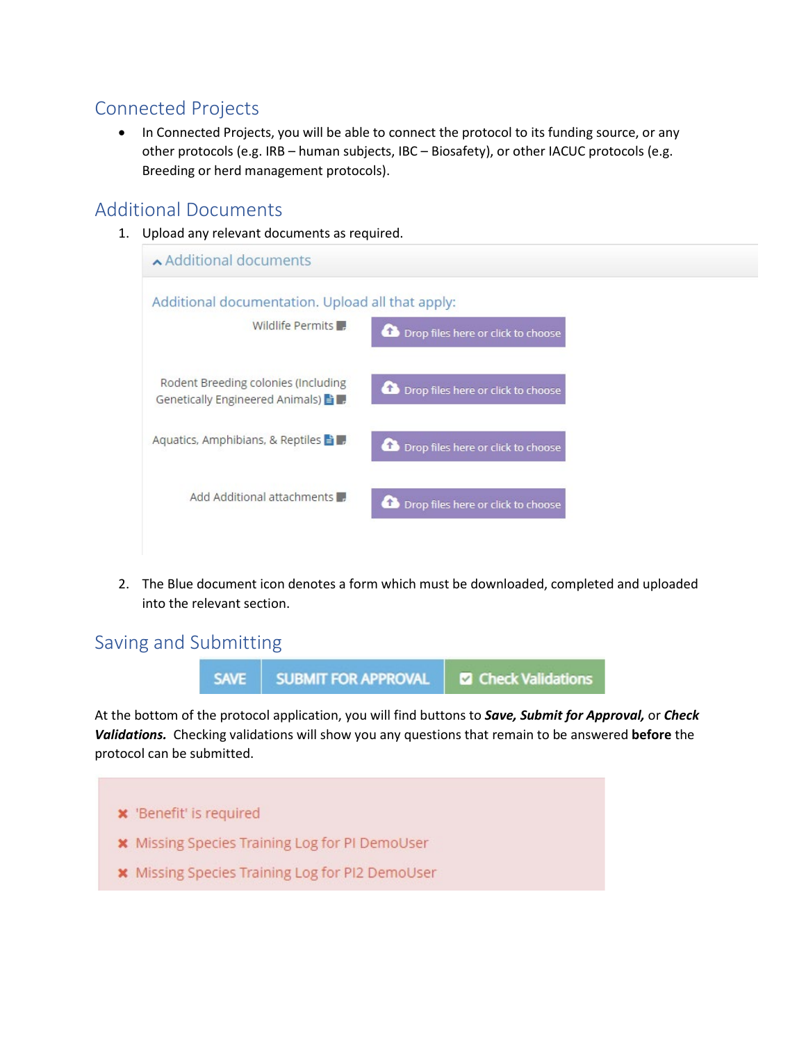### Connected Projects

• In Connected Projects, you will be able to connect the protocol to its funding source, or any other protocols (e.g. IRB – human subjects, IBC – Biosafety), or other IACUC protocols (e.g. Breeding or herd management protocols).

#### Additional Documents

1. Upload any relevant documents as required.

| ▲ Additional documents                                                                                                  |  |
|-------------------------------------------------------------------------------------------------------------------------|--|
| Additional documentation. Upload all that apply:<br>Wildlife Permits<br>Drop files here or click to choose              |  |
| Rodent Breeding colonies (Including<br>Drop files here or click to choose<br>Genetically Engineered Animals) = <b>F</b> |  |
| Aquatics, Amphibians, & Reptiles ■<br>Drop files here or click to choose                                                |  |
| Add Additional attachments<br>Drop files here or click to choose                                                        |  |
|                                                                                                                         |  |

2. The Blue document icon denotes a form which must be downloaded, completed and uploaded into the relevant section.

#### Saving and Submitting



At the bottom of the protocol application, you will find buttons to *Save, Submit for Approval,* or *Check Validations.* Checking validations will show you any questions that remain to be answered **before** the protocol can be submitted.

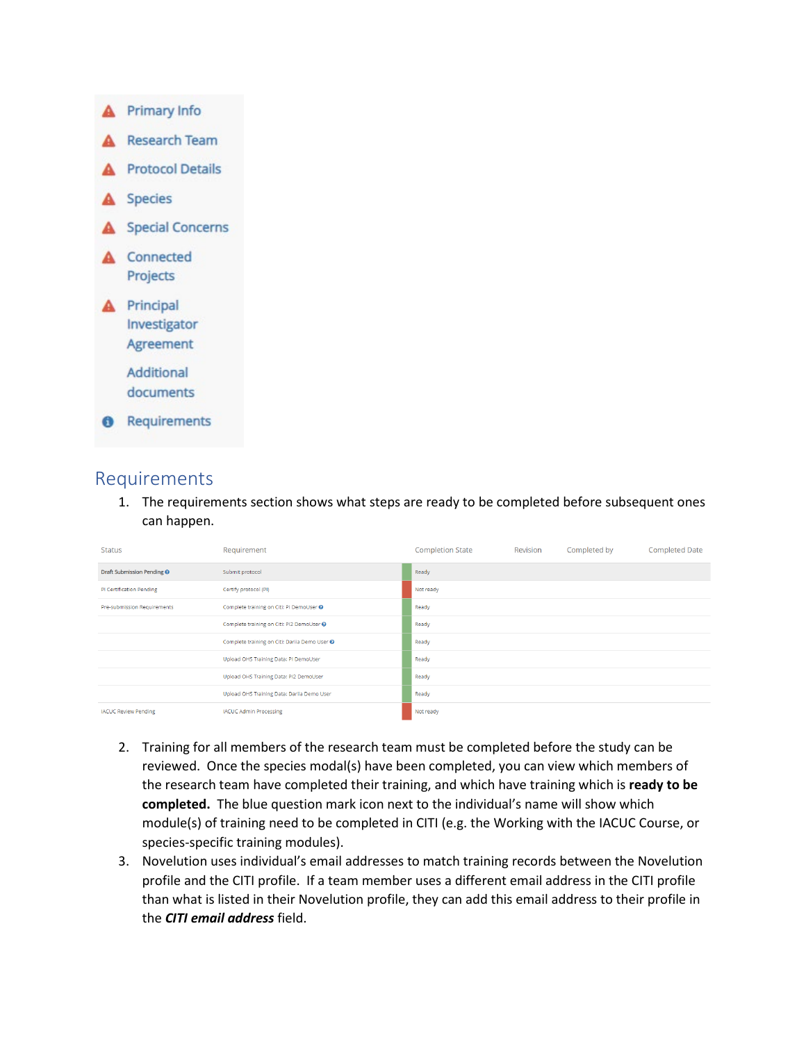

#### Requirements

1. The requirements section shows what steps are ready to be completed before subsequent ones can happen.

| <b>Status</b>                     | Requirement                                   | <b>Completion State</b> | Revision | Completed by | <b>Completed Date</b> |
|-----------------------------------|-----------------------------------------------|-------------------------|----------|--------------|-----------------------|
| <b>Draft Submission Pending O</b> | Submit protocol                               | Ready                   |          |              |                       |
| PI Certification Pending          | Certify protocol (PI)                         | Not ready               |          |              |                       |
| Pre-submission Requirements       | Complete training on Citi: PI DemoUser @      | Ready                   |          |              |                       |
|                                   | Complete training on Citi: PI2 DemoUser @     | Ready                   |          |              |                       |
|                                   | Complete training on Citi: Dariia Demo User O | Ready                   |          |              |                       |
|                                   | Upload OHS Training Data: PI DemoUser         | Ready                   |          |              |                       |
|                                   | Upload OHS Training Data: PI2 DemoUser        | Ready                   |          |              |                       |
|                                   | Upload OHS Training Data: Darlia Demo User    | Ready                   |          |              |                       |
| <b>IACUC Review Pending</b>       | <b>IACUC Admin Processing</b>                 | Not ready               |          |              |                       |

- 2. Training for all members of the research team must be completed before the study can be reviewed. Once the species modal(s) have been completed, you can view which members of the research team have completed their training, and which have training which is **ready to be completed.** The blue question mark icon next to the individual's name will show which module(s) of training need to be completed in CITI (e.g. the Working with the IACUC Course, or species-specific training modules).
- 3. Novelution uses individual's email addresses to match training records between the Novelution profile and the CITI profile. If a team member uses a different email address in the CITI profile than what is listed in their Novelution profile, they can add this email address to their profile in the *CITI email address* field.